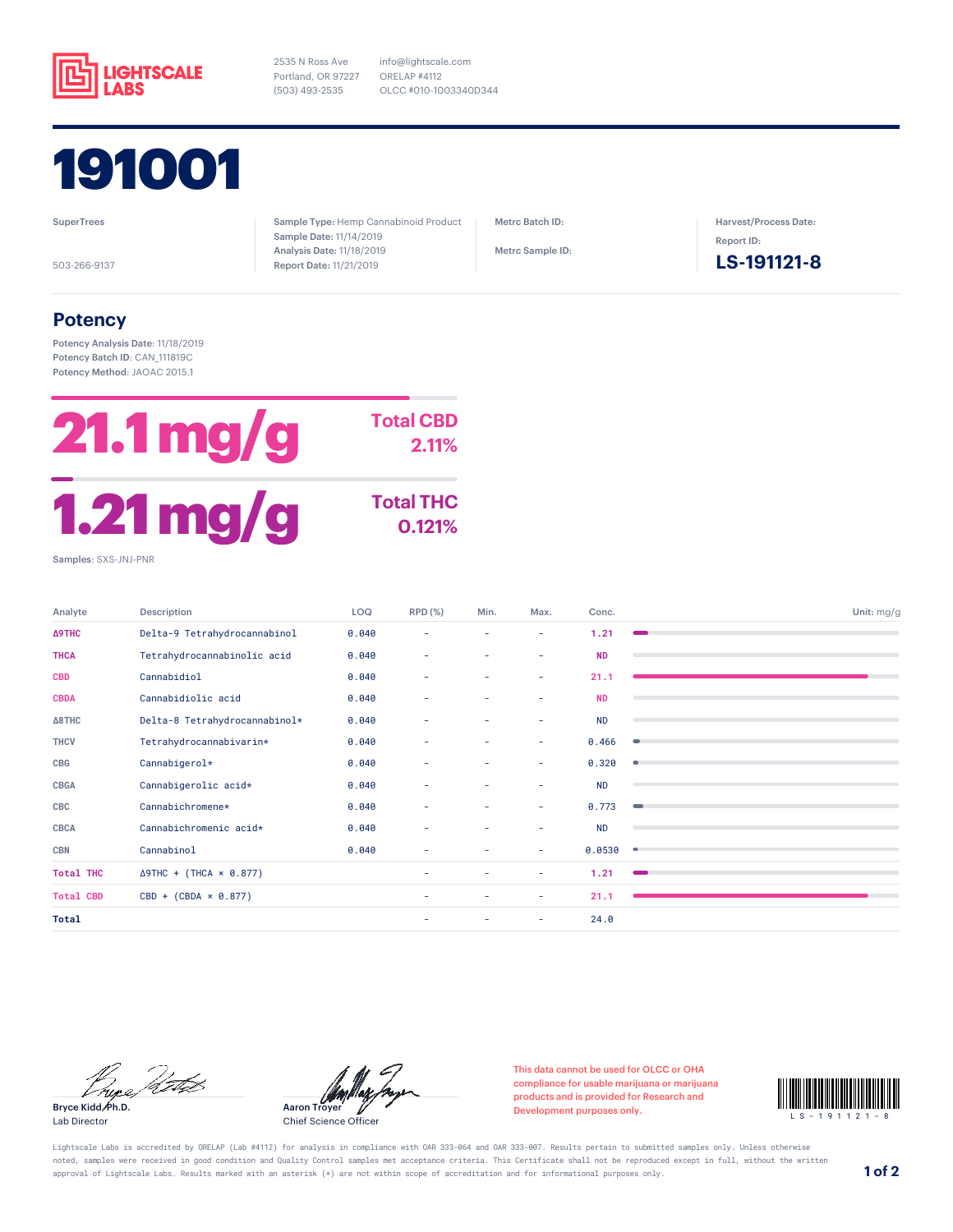

2535 N Ross Ave Portland, OR 97227 (503) 493-2535



**SuperTrees** 

503-266-9137

Sample Type: Hemp Cannabinoid Product Sample Date: 11/14/2019 Analysis Date: 11/18/2019 Report Date: 11/21/2019

info@lightscale.com ORELAP #4112

OLCC #010-1003340D344

Metrc Batch ID:

Metrc Sample ID:

Harvest/Process Date: Report ID:

**LS-191121-8**

## **Potency**

Potency Analysis Date: 11/18/2019 Potency Batch ID: CAN\_111819C Potency Method: JAOAC 2015.1



Analyte Description LOQ RPD (%) Min. Max. Conc. Unit: mg/g **Δ9THC** Delta-9 Tetrahydrocannabinol 0.040 - - - **1.21 THCA** Tetrahydrocannabinolic acid 0.040 - - - **ND CBD** Cannabidiol 0.040 - - - **21.1 CBDA** Cannabidiolic acid 0.040 - - - **ND Δ8THC** Delta-8 Tetrahydrocannabinol\* 0.040 - - - ND **THCV** Tetrahydrocannabivarin\* 0.040 - - - 0.466 **CBG** Cannabigerol\* 0.040 - - - 0.320 **CBGA** Cannabigerolic acid\* 0.040 - - - ND **CBC** Cannabichromene\* 0.040 - - - 0.773 **CBCA** Cannabichromenic acid\* 0.040 - - - ND **CBN** Cannabinol 0.040 - - - 0.0530 **Total THC** Δ9THC + (THCA × 0.877) - - - - 1.21 **Total CBD** CBD + (CBDA × 0.877) - - - 21.1 **Total** - - 24.0

Bure Peter

Bryce Kidd, Ph.D. Lab Director

Aaron Troyer

Chief Science Officer

This data cannot be used for OLCC or OHA compliance for usable marijuana or marijuana products and is provided for Research and compliance for usable marijuana or marijuana<br>products and is provided for Research and<br>Development purposes only.



Lightscale Labs is accredited by ORELAP (Lab #4112) for analysis in compliance with OAR 333-064 and OAR 333-007. Results pertain to submitted samples only. Unless otherwise noted, samples were received in good condition and Quality Control samples met acceptance criteria. This Certificate shall not be reproduced except in full, without the written approval of Lightscale Labs. Results marked with an asterisk (\*) are not within scope of accreditation and for informational purposes only. **1 of 2**